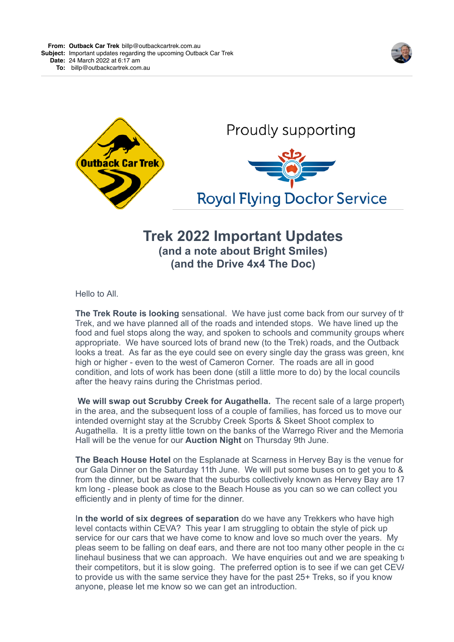





## **Trek 2022 Important Updates (and a note about Bright Smiles) (and the Drive 4x4 The Doc)**

Hello to All.

**The Trek Route is looking** sensational. We have just come back from our survey of the Trek, and we have planned all of the roads and intended stops. We have lined up the food and fuel stops along the way, and spoken to schools and community groups where appropriate. We have sourced lots of brand new (to the Trek) roads, and the Outback looks a treat. As far as the eye could see on every single day the grass was green, knee high or higher - even to the west of Cameron Corner. The roads are all in good condition, and lots of work has been done (still a little more to do) by the local councils after the heavy rains during the Christmas period.

 **We will swap out Scrubby Creek for Augathella.** The recent sale of a large property in the area, and the subsequent loss of a couple of families, has forced us to move our intended overnight stay at the Scrubby Creek Sports & Skeet Shoot complex to Augathella. It is a pretty little town on the banks of the Warrego River and the Memoria Hall will be the venue for our **Auction Night** on Thursday 9th June.

**The Beach House Hotel** on the Esplanade at Scarness in Hervey Bay is the venue for our Gala Dinner on the Saturday 11th June. We will put some buses on to get you to & from the dinner, but be aware that the suburbs collectively known as Hervey Bay are 17 km long - please book as close to the Beach House as you can so we can collect you efficiently and in plenty of time for the dinner.

I**n the world of six degrees of separation** do we have any Trekkers who have high level contacts within CEVA? This year I am struggling to obtain the style of pick up service for our cars that we have come to know and love so much over the years. My pleas seem to be falling on deaf ears, and there are not too many other people in the  $c_i$ linehaul business that we can approach. We have enquiries out and we are speaking  $t_0$ their competitors, but it is slow going. The preferred option is to see if we can get CEV/ to provide us with the same service they have for the past 25+ Treks, so if you know anyone, please let me know so we can get an introduction.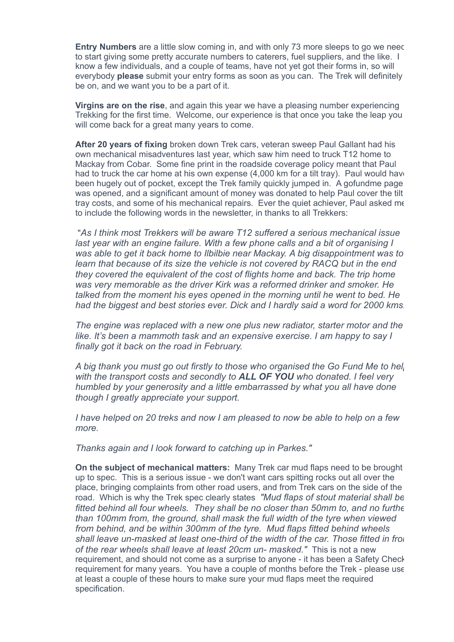**Entry Numbers** are a little slow coming in, and with only 73 more sleeps to go we need to start giving some pretty accurate numbers to caterers, fuel suppliers, and the like. I know a few individuals, and a couple of teams, have not yet got their forms in, so will everybody **please** submit your entry forms as soon as you can. The Trek will definitely be on, and we want you to be a part of it.

**Virgins are on the rise**, and again this year we have a pleasing number experiencing Trekking for the first time. Welcome, our experience is that once you take the leap you will come back for a great many years to come.

**After 20 years of fixing** broken down Trek cars, veteran sweep Paul Gallant had his own mechanical misadventures last year, which saw him need to truck T12 home to Mackay from Cobar. Some fine print in the roadside coverage policy meant that Paul had to truck the car home at his own expense (4,000 km for a tilt tray). Paul would have been hugely out of pocket, except the Trek family quickly jumped in. A gofundme page was opened, and a significant amount of money was donated to help Paul cover the tilt tray costs, and some of his mechanical repairs. Ever the quiet achiever, Paul asked me to include the following words in the newsletter, in thanks to all Trekkers:

 "*As I think most Trekkers will be aware T12 suffered a serious mechanical issue last year with an engine failure. With a few phone calls and a bit of organising I was able to get it back home to Ilbilbie near Mackay. A big disappointment was to learn that because of its size the vehicle is not covered by RACQ but in the end they covered the equivalent of the cost of flights home and back. The trip home was very memorable as the driver Kirk was a reformed drinker and smoker. He talked from the moment his eyes opened in the morning until he went to bed. He had the biggest and best stories ever. Dick and I hardly said a word for 2000 kms!*

*The engine was replaced with a new one plus new radiator, starter motor and the like. It's been a mammoth task and an expensive exercise. I am happy to say I finally got it back on the road in February.*

*A big thank you must go out firstly to those who organised the Go Fund Me to hel with the transport costs and secondly to ALL OF YOU who donated. I feel very humbled by your generosity and a little embarrassed by what you all have done though I greatly appreciate your support.*

*I have helped on 20 treks and now I am pleased to now be able to help on a few more.*

*Thanks again and I look forward to catching up in Parkes."*

**On the subject of mechanical matters:** Many Trek car mud flaps need to be brought up to spec. This is a serious issue - we don't want cars spitting rocks out all over the place, bringing complaints from other road users, and from Trek cars on the side of the road. Which is why the Trek spec clearly states *"Mud flaps of stout material shall be fitted behind all four wheels. They shall be no closer than 50mm to, and no furtherally than 100mm from, the ground, shall mask the full width of the tyre when viewed from behind, and be within 300mm of the tyre. Mud flaps fitted behind wheels* shall leave un-masked at least one-third of the width of the car. Those fitted in from *of the rear wheels shall leave at least 20cm un- masked."* This is not a new requirement, and should not come as a surprise to anyone - it has been a Safety Check requirement for many years. You have a couple of months before the Trek - please use at least a couple of these hours to make sure your mud flaps meet the required specification.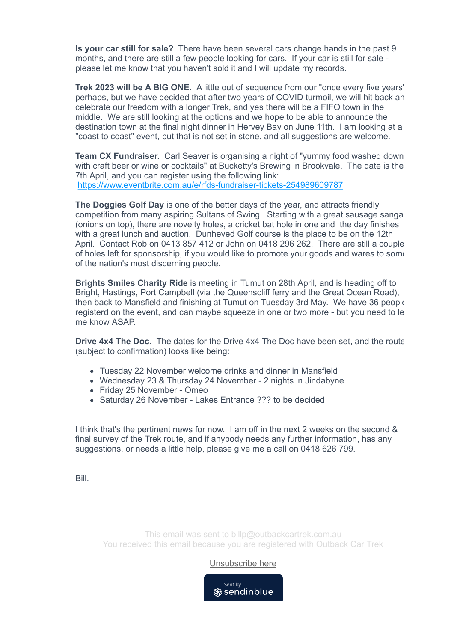**Is your car still for sale?** There have been several cars change hands in the past 9 months, and there are still a few people looking for cars. If your car is still for sale please let me know that you haven't sold it and I will update my records.

**Trek 2023 will be A BIG ONE**. A little out of sequence from our "once every five years" perhaps, but we have decided that after two years of COVID turmoil, we will hit back and celebrate our freedom with a longer Trek, and yes there will be a FIFO town in the middle. We are still looking at the options and we hope to be able to announce the destination town at the final night dinner in Hervey Bay on June 11th. I am looking at a "coast to coast" event, but that is not set in stone, and all suggestions are welcome.

**Team CX Fundraiser.** Carl Seaver is organising a night of "yummy food washed down with craft beer or wine or cocktails" at Bucketty's Brewing in Brookvale. The date is the 7th April, and you can register using the following link: [https://www.eventbrite.com.au/e/rfds-fundraiser-tickets-254989609787](https://4ljld.r.a.d.sendibm1.com/mk/cl/f/AOhFyc9fN7PDxPq4xDN483Dt7TShf148HP18GSKm8bFlnskfz0F2trM_SLwYCUmz7vcmrhTGv1O-bofVpRnBBP-LBga3lQe17sqej_jOMDG2DVvEcBEGlLX9eSdBtrGgqchjJKckTeKHpOJKSrTg7hbv89sBKswwsOqu7X8ce7GxCWtpy9jGCAaawavO1gjIpXg_7TyPeBJnx7sYqXYDnnyRYQFqHSy4uxh3Nwix5kid28iP6_jSn_PYe5w)

**The Doggies Golf Day** is one of the better days of the year, and attracts friendly competition from many aspiring Sultans of Swing. Starting with a great sausage sanga (onions on top), there are novelty holes, a cricket bat hole in one and the day finishes with a great lunch and auction. Dunheved Golf course is the place to be on the 12th April. Contact Rob on 0413 857 412 or John on 0418 296 262. There are still a couple of holes left for sponsorship, if you would like to promote your goods and wares to some of the nation's most discerning people.

**Brights Smiles Charity Ride** is meeting in Tumut on 28th April, and is heading off to Bright, Hastings, Port Campbell (via the Queenscliff ferry and the Great Ocean Road), then back to Mansfield and finishing at Tumut on Tuesday 3rd May. We have 36 people registerd on the event, and can maybe squeeze in one or two more - but you need to le me know ASAP

**Drive 4x4 The Doc.** The dates for the Drive 4x4 The Doc have been set, and the route (subject to confirmation) looks like being:

- Tuesday 22 November welcome drinks and dinner in Mansfield
- Wednesday 23 & Thursday 24 November 2 nights in Jindabyne
- Friday 25 November Omeo
- Saturday 26 November Lakes Entrance ??? to be decided

I think that's the pertinent news for now. I am off in the next 2 weeks on the second & final survey of the Trek route, and if anybody needs any further information, has any suggestions, or needs a little help, please give me a call on 0418 626 799.

Bill.

This email was sent to billp@outbackcartrek.com.au You received this email because you are registered with Outback Car Trek

[Unsubscribe here](https://4ljld.r.a.d.sendibm1.com/mk/un/v2/AzFTgCxWpQEpOXCvVHIZbwCySl_RrAs6_ADcYAJqpiY5Q6hLWaU7RPDBGweZqKaR5pdiwMoQgcaQD38qBktXgTI_nsO2TwCwsg2_7aL9mmp3vefPisKny91YgMcsjoXk20joOirG_9n8ptxaF5wTYzMws83Dp3v4mnRVFYYi-AVr0w)